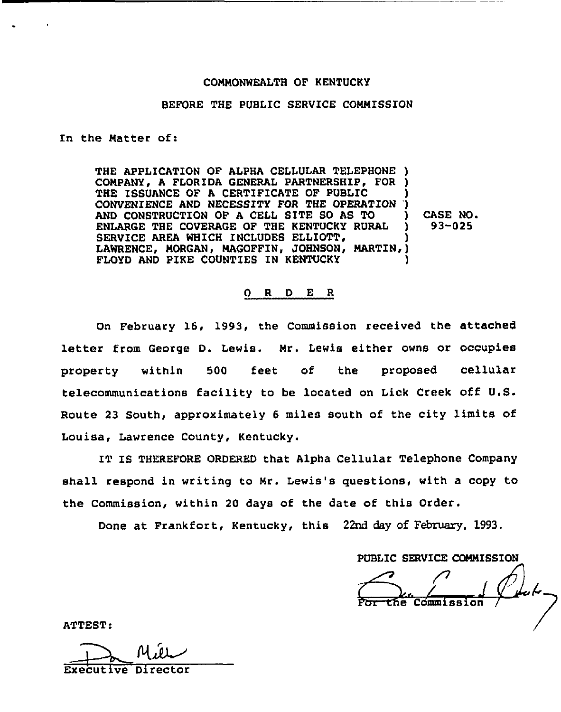### COMMONWEALTH OF KENTUCKY

#### BEFORE THE PUBLIC SERVICE COMMISSION

In the Matter of:

THE APPLICATION OF ALPHA CELLULAR TELEPHONE ) COMPANY, A FLORIDA GENERAL PARTNERSHIP, FOR ) THE ISSUANCE OF A CERTIFICATE OF PUBLIC CONVENIENCE AND NECESSITY FOR THE OPERATION AND CONSTRUCTION OF <sup>A</sup> CELL SITE SO AS TO ENLARGE THE COVERAGE OF THE KENTUCKY RURAL SERVICE AREA WHICH INCLUDES ELLIOTT, LAWRENCE, MORGAN, MAGOFFIN, JOHNSON, MARTI FLOYD AND PIKE COUNTIES IN KENTUCKY ) ') ) CASE NO. ) 93-025 ) ~ ) )

#### 0 <sup>R</sup> <sup>D</sup> E <sup>R</sup>

On February 16. 1993, the Commission received the attached letter from George D. Lewis. Mr. Lewis either owns or occupies property within 500 feet of the proposed cellula telecommunications facility to be located on Lick Creek off U.S. Route 23 South, approximately <sup>6</sup> miles south of the city limits of Louisa, Lawrence County, Kentucky.

IT IS THEREFORE ORDERED that Alpha Cellular Telephone Company shall respond in writing to Mr. Lewis's questions, with a copy to the Commission, within 20 days of the date of this Order.

Done at Frankfort, Kentucky, this 22nd day of February, 1993.

PUBLIC SERVICE COMMISSION

For the commission Commiss

ATTEST:

Executive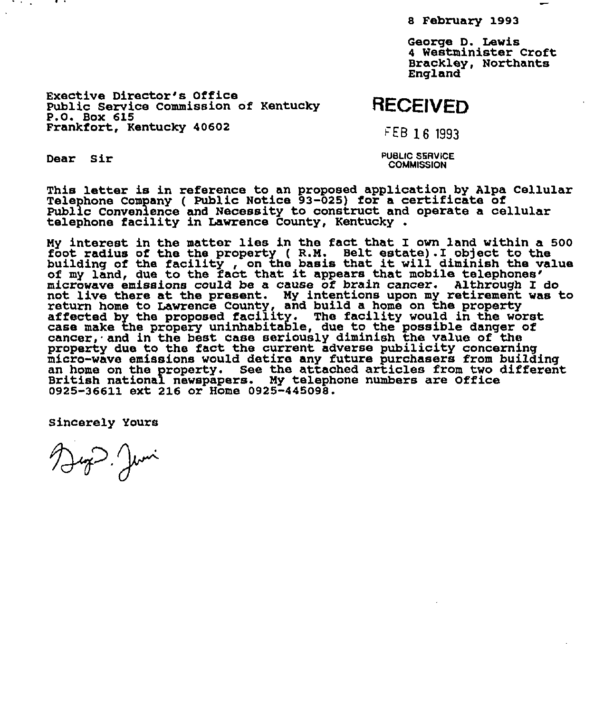8 February 1993

George D. Lewis 4 Westminister Croft Brackley, Northants England

Exective Director's Office Public Service Commission of Kentucky Frankfort, Kentucky 40602

## RECEIVED

FEB 16 1993

Dear Sir

**The State** 

PUBLIC SERVICE **COMMISSION** 

This letter is in reference to an proposed application by Alpa Cellula This letter is in reference to an proposed application by Arpa<br>Telephone Company ( Public Notice 93-025) for a certificate of Public Convenience and Necessity to construct and operate a cellular telephone facility in Lawrence county, Kentucky

My interest in the matter lies in the fact that I own land within a 500 foot radius of the the property ( R.M. Belt estate) .I object to the line foot radius of the the property (R.M. Belt estate). I object to the<br>building of the facility , on the basis that it will diminish the value<br>of my land, due to the fact that it appears that mobile telephones'<br>microwave emis not live there at the present. My intentions upon my retirement was to return home to Lawrence County, and build a home on the property affected by the proposed facility. The facility would in the worst case make the propery uninhabitable, due to the possible dangex of cancer, and in the best case seriously diminish the value of the property due to the fact the current adverse pubilicity concerning micro-wave emissions would detire any futuxe purchasers from building an home on the property. See the attached articles from two difterent British national newspapers. My telephone numbers are Office 0925-36611 ext 216 or Home 0925-445098.

Sincerely Yours

Dep Juni